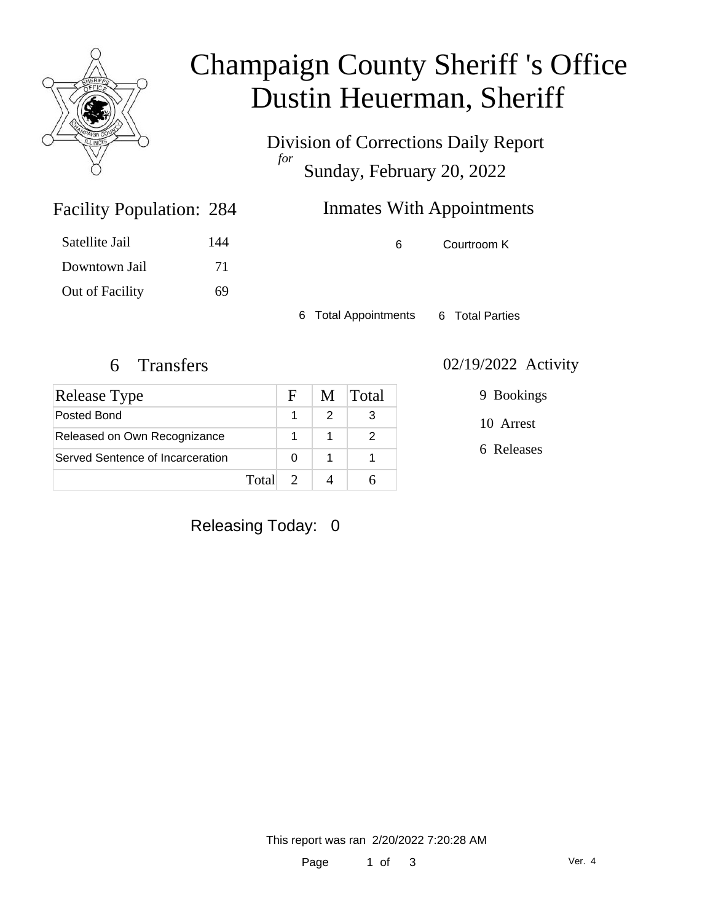

# Champaign County Sheriff 's Office Dustin Heuerman, Sheriff

Division of Corrections Daily Report *for* Sunday, February 20, 2022

### Inmates With Appointments

| Satellite Jail  | 144 |
|-----------------|-----|
| Downtown Jail   | 71  |
| Out of Facility | 69  |

Facility Population: 284

6 Courtroom K

6 Total Appointments 6 Total Parties

| Release Type                     |       | F. | M | Total |
|----------------------------------|-------|----|---|-------|
| Posted Bond                      |       |    |   |       |
| Released on Own Recognizance     |       |    |   |       |
| Served Sentence of Incarceration |       |    |   |       |
|                                  | Total |    |   |       |

#### 6 Transfers 02/19/2022 Activity

9 Bookings

10 Arrest

6 Releases

### Releasing Today: 0

This report was ran 2/20/2022 7:20:28 AM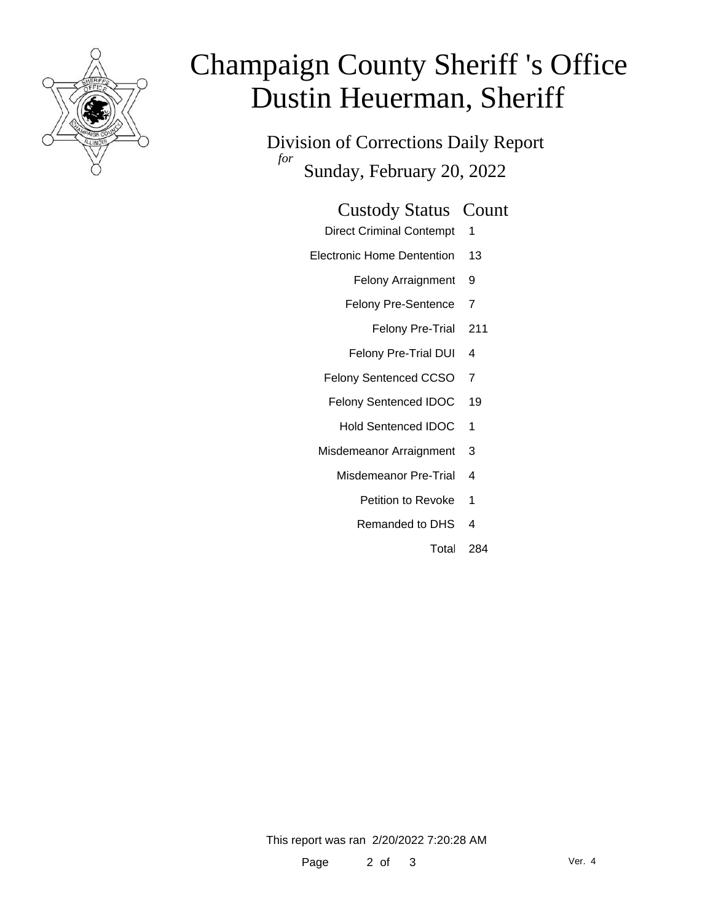

# Champaign County Sheriff 's Office Dustin Heuerman, Sheriff

Division of Corrections Daily Report *for* Sunday, February 20, 2022

#### Custody Status Count

- Direct Criminal Contempt 1
- Electronic Home Dentention 13
	- Felony Arraignment 9
	- Felony Pre-Sentence 7
		- Felony Pre-Trial 211
	- Felony Pre-Trial DUI 4
	- Felony Sentenced CCSO 7
	- Felony Sentenced IDOC 19
		- Hold Sentenced IDOC 1
	- Misdemeanor Arraignment 3
		- Misdemeanor Pre-Trial 4
			- Petition to Revoke 1
			- Remanded to DHS 4
				- Total 284

This report was ran 2/20/2022 7:20:28 AM